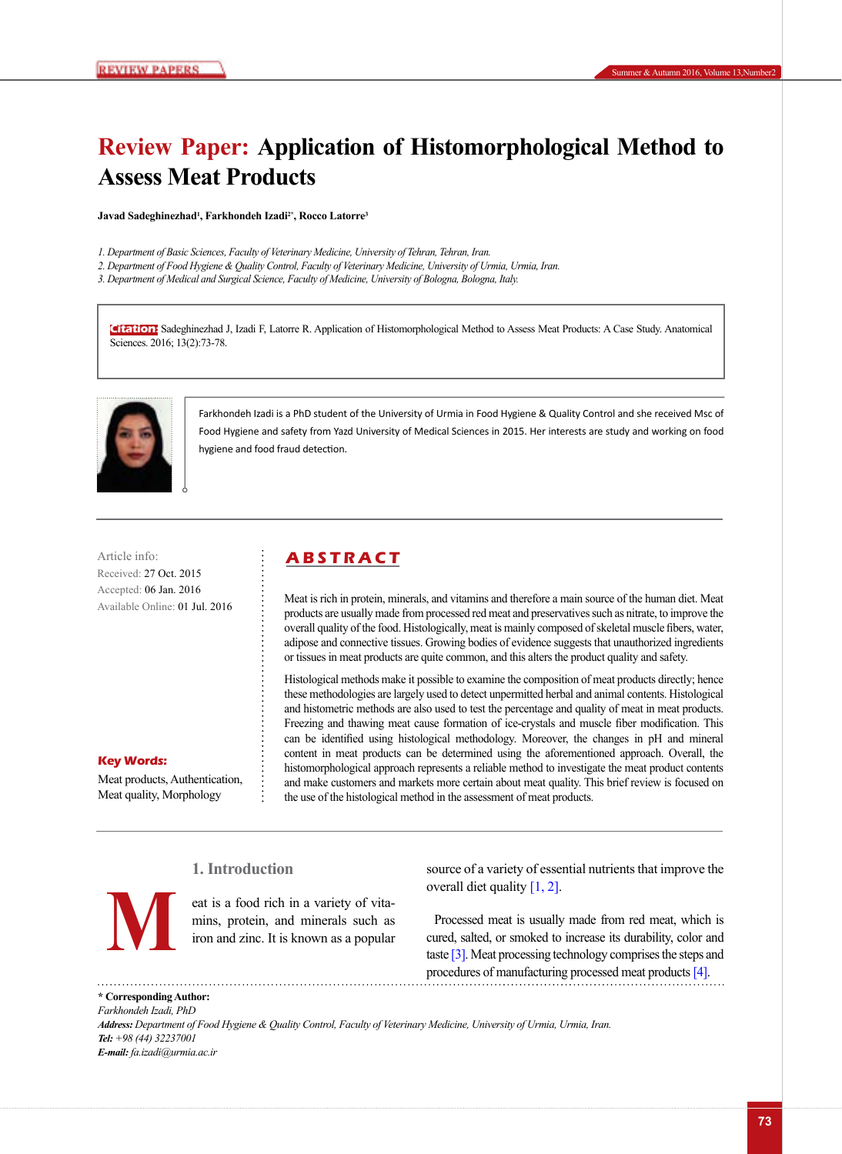# **Review Paper: Application of Histomorphological Method to Assess Meat Products**

**Javad Sadeghinezhad1 , Farkhondeh Izadi2\*, Rocco Latorre3**

- *1. Department of Basic Sciences, Faculty of Veterinary Medicine, University of Tehran, Tehran, Iran.*
- *2. Department of Food Hygiene & Quality Control, Faculty of Veterinary Medicine, University of Urmia, Urmia, Iran.*
- *3. Department of Medical and Surgical Science, Faculty of Medicine, University of Bologna, Bologna, Italy.*

**Citation:** Sadeghinezhad J, Izadi F, Latorre R. Application of Histomorphological Method to Assess Meat Products: A Case Study. Anatomical Sciences. 2016; 13(2):73-78.



Farkhondeh Izadi is a PhD student of the University of Urmia in Food Hygiene & Quality Control and she received Msc of Food Hygiene and safety from Yazd University of Medical Sciences in 2015. Her interests are study and working on food hygiene and food fraud detection.

Article info: **ABSTRACT** Received: 27 Oct. 2015 Accepted: 06 Jan. 2016 Available Online: 01 Jul. 2016

# **Key Words:**

Meat products, Authentication, Meat quality, Morphology

Meat is rich in protein, minerals, and vitamins and therefore a main source of the human diet. Meat products are usually made from processed red meat and preservatives such as nitrate, to improve the overall quality of the food. Histologically, meat is mainly composed of skeletal muscle fibers, water, adipose and connective tissues. Growing bodies of evidence suggests that unauthorized ingredients or tissues in meat products are quite common, and this alters the product quality and safety.

Histological methods make it possible to examine the composition of meat products directly; hence these methodologies are largely used to detect unpermitted herbal and animal contents. Histological and histometric methods are also used to test the percentage and quality of meat in meat products. Freezing and thawing meat cause formation of ice-crystals and muscle fiber modification. This can be identified using histological methodology. Moreover, the changes in pH and mineral content in meat products can be determined using the aforementioned approach. Overall, the histomorphological approach represents a reliable method to investigate the meat product contents and make customers and markets more certain about meat quality. This brief review is focused on the use of the histological method in the assessment of meat products.

# **1. Introduction**



eat is a food rich in a variety of vitamins, protein, and minerals such as iron and zinc. It is known as a popular source of a variety of essential nutrients that improve the overall diet quality  $[1, 2]$ .

Processed meat is usually made from red meat, which is cured, salted, or smoked to increase its durability, color and The cat is a food rich in a variety of vita-<br>mins, protein, and minerals such as<br>iron and zinc. It is known as a popular<br>tast[e \[3\].](#page-4-0) Meat processing technology comprises the steps and<br>taste [3]. Meat processing technology c procedures of manufacturing processed meat products [\[4\]](#page-4-1).

**\* Corresponding Author:** *Farkhondeh Izadi, PhD Address: Department of Food Hygiene & Quality Control, Faculty of Veterinary Medicine, University of Urmia, Urmia, Iran. Tel: +98 (44) 32237001 E-mail: fa.izadi@urmia.ac.ir*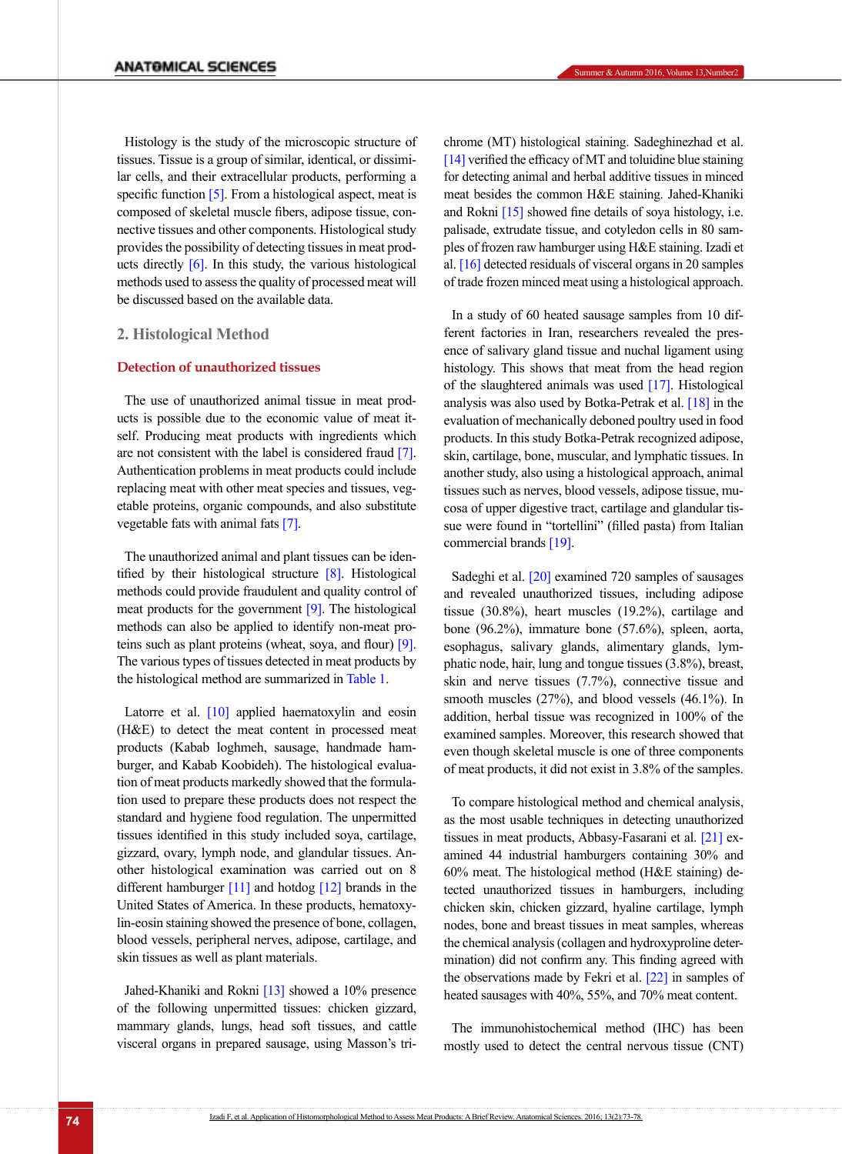Histology is the study of the microscopic structure of tissues. Tissue is a group of similar, identical, or dissimilar cells, and their extracellular products, performing a specific function [\[5\]](#page-4-2). From a histological aspect, meat is composed of skeletal muscle fibers, adipose tissue, connective tissues and other components. Histological study provides the possibility of detecting tissues in meat products directly  $[6]$ . In this study, the various histological methods used to assess the quality of processed meat will be discussed based on the available data.

# **2. Histological Method**

### **Detection of unauthorized tissues**

The use of unauthorized animal tissue in meat products is possible due to the economic value of meat itself. Producing meat products with ingredients which are not consistent with the label is considered fraud [\[7\]](#page-4-4). Authentication problems in meat products could include replacing meat with other meat species and tissues, vegetable proteins, organic compounds, and also substitute vegetable fats with animal fats [\[7\].](#page-4-4)

The unauthorized animal and plant tissues can be identified by their histological structure [\[8\]](#page-4-5). Histological methods could provide fraudulent and quality control of meat products for the government [\[9\]](#page-4-6). The histological methods can also be applied to identify non-meat proteins such as plant proteins (wheat, soya, and flour) [\[9\]](#page-4-6). The various types of tissues detected in meat products by the histological method are summarized in [Table 1](#page-2-0).

Latorre et al. [\[10\]](#page-4-7) applied haematoxylin and eosin (H&E) to detect the meat content in processed meat products (Kabab loghmeh, sausage, handmade hamburger, and Kabab Koobideh). The histological evaluation of meat products markedly showed that the formulation used to prepare these products does not respect the standard and hygiene food regulation. The unpermitted tissues identified in this study included soya, cartilage, gizzard, ovary, lymph node, and glandular tissues. Another histological examination was carried out on 8 different hamburger  $[11]$  and hotdog  $[12]$  brands in the United States of America. In these products, hematoxylin-eosin staining showed the presence of bone, collagen, blood vessels, peripheral nerves, adipose, cartilage, and skin tissues as well as plant materials.

Jahed-Khaniki and Rokni [\[13\]](#page-4-10) showed a 10% presence of the following unpermitted tissues: chicken gizzard, mammary glands, lungs, head soft tissues, and cattle visceral organs in prepared sausage, using Masson's trichrome (MT) histological staining. Sadeghinezhad et al.  $[14]$  verified the efficacy of MT and toluidine blue staining for detecting animal and herbal additive tissues in minced meat besides the common H&E staining. Jahed-Khaniki and Rokni [\[15\]](#page-4-12) showed fine details of soya histology, i.e. palisade, extrudate tissue, and cotyledon cells in 80 samples of frozen raw hamburger using H&E staining. Izadi et al. [\[16\]](#page-4-13) detected residuals of visceral organs in 20 samples of trade frozen minced meat using a histological approach.

In a study of 60 heated sausage samples from 10 different factories in Iran, researchers revealed the presence of salivary gland tissue and nuchal ligament using histology. This shows that meat from the head region of the slaughtered animals was used [\[17\].](#page-4-14) Histological analysis was also used by Botka-Petrak et al. [18] in the evaluation of mechanically deboned poultry used in food products. In this study Botka-Petrak recognized adipose, skin, cartilage, bone, muscular, and lymphatic tissues. In another study, also using a histological approach, animal tissues such as nerves, blood vessels, adipose tissue, mucosa of upper digestive tract, cartilage and glandular tissue were found in "tortellini" (filled pasta) from Italian commercial brands [\[19\].](#page-4-15)

Sadeghi et al. [\[20\]](#page-4-16) examined 720 samples of sausages and revealed unauthorized tissues, including adipose tissue (30.8%), heart muscles (19.2%), cartilage and bone (96.2%), immature bone (57.6%), spleen, aorta, esophagus, salivary glands, alimentary glands, lymphatic node, hair, lung and tongue tissues (3.8%), breast, skin and nerve tissues (7.7%), connective tissue and smooth muscles (27%), and blood vessels (46.1%). In addition, herbal tissue was recognized in 100% of the examined samples. Moreover, this research showed that even though skeletal muscle is one of three components of meat products, it did not exist in 3.8% of the samples.

To compare histological method and chemical analysis, as the most usable techniques in detecting unauthorized tissues in meat products, Abbasy-Fasarani et al. [\[21\]](#page-4-17) examined 44 industrial hamburgers containing 30% and 60% meat. The histological method (H&E staining) detected unauthorized tissues in hamburgers, including chicken skin, chicken gizzard, hyaline cartilage, lymph nodes, bone and breast tissues in meat samples, whereas the chemical analysis (collagen and hydroxyproline determination) did not confirm any. This finding agreed with the observations made by Fekri et al. [\[22\]](#page-5-0) in samples of heated sausages with 40%, 55%, and 70% meat content.

The immunohistochemical method (IHC) has been mostly used to detect the central nervous tissue (CNT)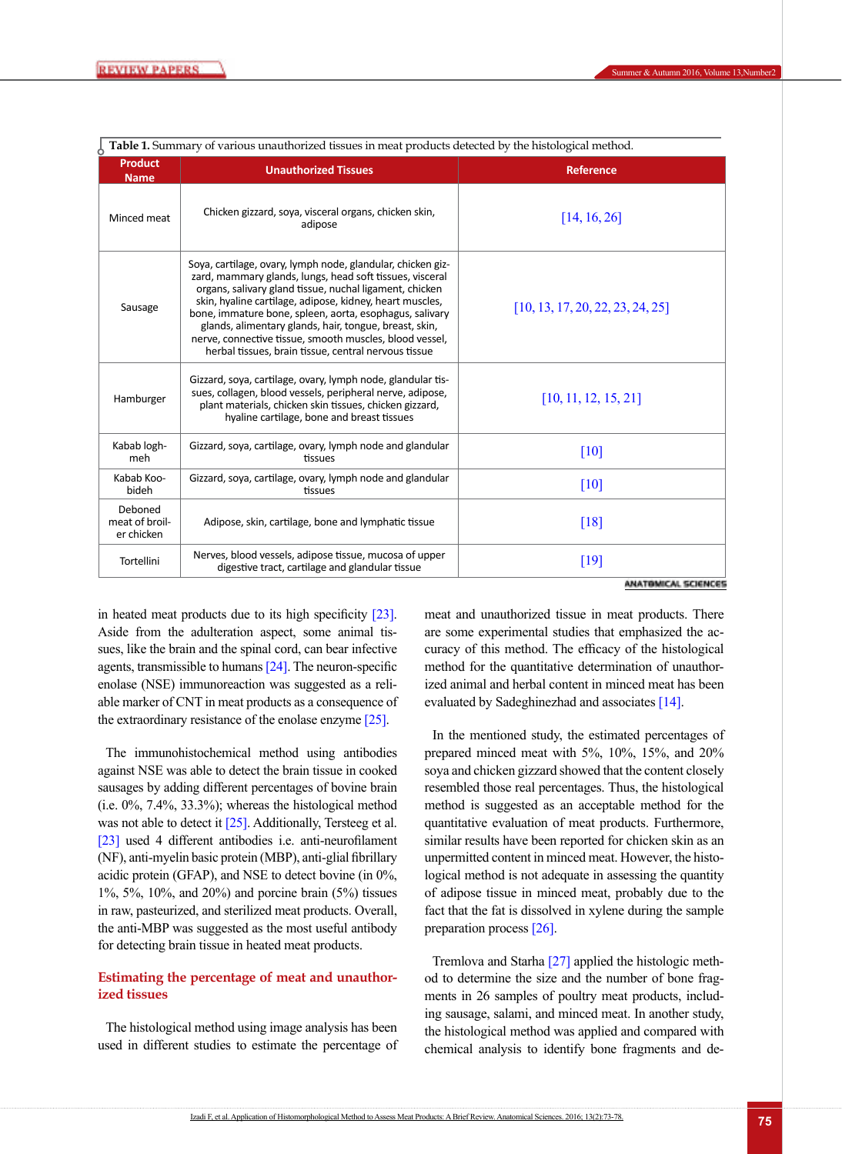| O<br><b>Product</b><br><b>Name</b>      | <b>Unauthorized Tissues</b>                                                                                                                                                                                                                                                                                                                                                                                                                                                            | <b>Reference</b>                 |
|-----------------------------------------|----------------------------------------------------------------------------------------------------------------------------------------------------------------------------------------------------------------------------------------------------------------------------------------------------------------------------------------------------------------------------------------------------------------------------------------------------------------------------------------|----------------------------------|
| Minced meat                             | Chicken gizzard, soya, visceral organs, chicken skin,<br>adipose                                                                                                                                                                                                                                                                                                                                                                                                                       | [14, 16, 26]                     |
| Sausage                                 | Soya, cartilage, ovary, lymph node, glandular, chicken giz-<br>zard, mammary glands, lungs, head soft tissues, visceral<br>organs, salivary gland tissue, nuchal ligament, chicken<br>skin, hyaline cartilage, adipose, kidney, heart muscles,<br>bone, immature bone, spleen, aorta, esophagus, salivary<br>glands, alimentary glands, hair, tongue, breast, skin,<br>nerve, connective tissue, smooth muscles, blood vessel,<br>herbal tissues, brain tissue, central nervous tissue | [10, 13, 17, 20, 22, 23, 24, 25] |
| Hamburger                               | Gizzard, soya, cartilage, ovary, lymph node, glandular tis-<br>sues, collagen, blood vessels, peripheral nerve, adipose,<br>plant materials, chicken skin tissues, chicken gizzard,<br>hyaline cartilage, bone and breast tissues                                                                                                                                                                                                                                                      | [10, 11, 12, 15, 21]             |
| Kabab logh-<br>meh                      | Gizzard, soya, cartilage, ovary, lymph node and glandular<br>tissues                                                                                                                                                                                                                                                                                                                                                                                                                   | [10]                             |
| Kabab Koo-<br>bideh                     | Gizzard, soya, cartilage, ovary, lymph node and glandular<br>tissues                                                                                                                                                                                                                                                                                                                                                                                                                   | $[10]$                           |
| Deboned<br>meat of broil-<br>er chicken | Adipose, skin, cartilage, bone and lymphatic tissue                                                                                                                                                                                                                                                                                                                                                                                                                                    | [18]                             |
| Tortellini                              | Nerves, blood vessels, adipose tissue, mucosa of upper<br>digestive tract, cartilage and glandular tissue                                                                                                                                                                                                                                                                                                                                                                              | [19]<br>在时尚不断的现在分词 医产物吸虫         |

<span id="page-2-0"></span>**Table 1.** Summary of various unauthorized tissues in meat products detected by the histological method.

in heated meat products due to its high specificity [\[23\]](#page-5-1). Aside from the adulteration aspect, some animal tissues, like the brain and the spinal cord, can bear infective agents, transmissible to humans  $[24]$ . The neuron-specific enolase (NSE) immunoreaction was suggested as a reliable marker of CNT in meat products as a consequence of the extraordinary resistance of the enolase enzyme [25].

The immunohistochemical method using antibodies against NSE was able to detect the brain tissue in cooked sausages by adding different percentages of bovine brain (i.e. 0%, 7.4%, 33.3%); whereas the histological method was not able to detect it [25]. Additionally, Tersteeg et al. [\[23\]](#page-5-1) used 4 different antibodies i.e. anti-neurofilament (NF), anti-myelin basic protein (MBP), anti-glial fibrillary acidic protein (GFAP), and NSE to detect bovine (in 0%, 1%, 5%, 10%, and 20%) and porcine brain (5%) tissues in raw, pasteurized, and sterilized meat products. Overall, the anti-MBP was suggested as the most useful antibody for detecting brain tissue in heated meat products.

# **Estimating the percentage of meat and unauthorized tissues**

The histological method using image analysis has been used in different studies to estimate the percentage of meat and unauthorized tissue in meat products. There are some experimental studies that emphasized the accuracy of this method. The efficacy of the histological method for the quantitative determination of unauthorized animal and herbal content in minced meat has been evaluated by Sadeghinezhad and associates [\[14\]](#page-4-11).

In the mentioned study, the estimated percentages of prepared minced meat with 5%, 10%, 15%, and 20% soya and chicken gizzard showed that the content closely resembled those real percentages. Thus, the histological method is suggested as an acceptable method for the quantitative evaluation of meat products. Furthermore, similar results have been reported for chicken skin as an unpermitted content in minced meat. However, the histological method is not adequate in assessing the quantity of adipose tissue in minced meat, probably due to the fact that the fat is dissolved in xylene during the sample preparation process [\[26\]](#page-5-3).

Tremlova and Starha [\[27\]](#page-5-4) applied the histologic method to determine the size and the number of bone fragments in 26 samples of poultry meat products, including sausage, salami, and minced meat. In another study, the histological method was applied and compared with chemical analysis to identify bone fragments and de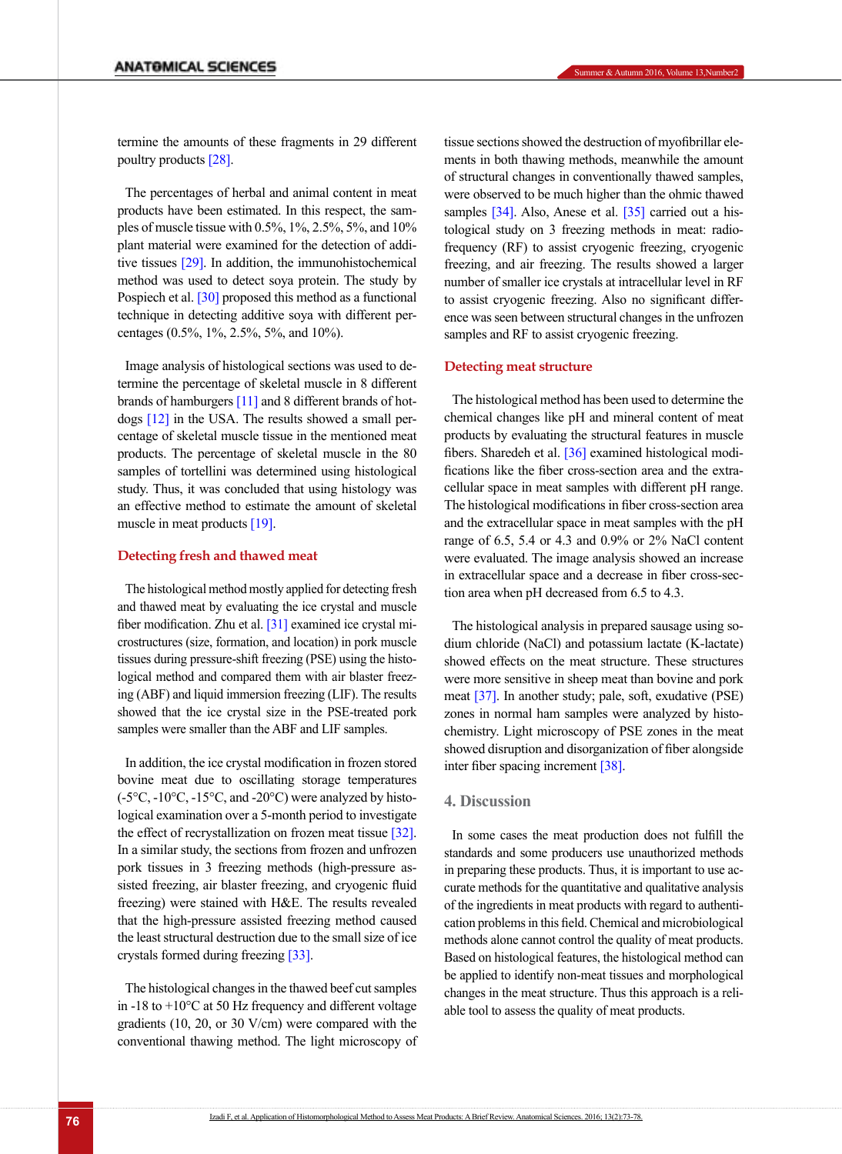termine the amounts of these fragments in 29 different poultry products [\[28\]](#page-5-5).

The percentages of herbal and animal content in meat products have been estimated. In this respect, the samples of muscle tissue with 0.5%, 1%, 2.5%, 5%, and 10% plant material were examined for the detection of additive tissues [\[29\]](#page-5-6). In addition, the immunohistochemical method was used to detect soya protein. The study by Pospiech et al. [30] proposed this method as a functional technique in detecting additive soya with different percentages (0.5%, 1%, 2.5%, 5%, and 10%).

Image analysis of histological sections was used to determine the percentage of skeletal muscle in 8 different brands of hamburgers [\[11\]](#page-4-8) and 8 different brands of hotdogs [\[12\]](#page-4-9) in the USA. The results showed a small percentage of skeletal muscle tissue in the mentioned meat products. The percentage of skeletal muscle in the 80 samples of tortellini was determined using histological study. Thus, it was concluded that using histology was an effective method to estimate the amount of skeletal muscle in meat products [\[19\]](#page-4-15).

#### **Detecting fresh and thawed meat**

The histological method mostly applied for detecting fresh and thawed meat by evaluating the ice crystal and muscle fiber modification. Zhu et al. [\[31\]](#page-5-7) examined ice crystal microstructures (size, formation, and location) in pork muscle tissues during pressure-shift freezing (PSE) using the histological method and compared them with air blaster freezing (ABF) and liquid immersion freezing (LIF). The results showed that the ice crystal size in the PSE-treated pork samples were smaller than the ABF and LIF samples.

In addition, the ice crystal modification in frozen stored bovine meat due to oscillating storage temperatures  $(-5^{\circ}C, -10^{\circ}C, -15^{\circ}C,$  and  $-20^{\circ}C)$  were analyzed by histological examination over a 5-month period to investigate the effect of recrystallization on frozen meat tissue [32]. In a similar study, the sections from frozen and unfrozen pork tissues in 3 freezing methods (high-pressure assisted freezing, air blaster freezing, and cryogenic fluid freezing) were stained with H&E. The results revealed that the high-pressure assisted freezing method caused the least structural destruction due to the small size of ice crystals formed during freezing [\[33\].](#page-5-8)

The histological changes in the thawed beef cut samples in  $-18$  to  $+10^{\circ}$ C at 50 Hz frequency and different voltage gradients (10, 20, or 30 V/cm) were compared with the conventional thawing method. The light microscopy of tissue sections showed the destruction of myofibrillar elements in both thawing methods, meanwhile the amount of structural changes in conventionally thawed samples, were observed to be much higher than the ohmic thawed samples [\[34\]](#page-5-9). Also, Anese et al. [\[35\] c](#page-5-10)arried out a histological study on 3 freezing methods in meat: radiofrequency (RF) to assist cryogenic freezing, cryogenic freezing, and air freezing. The results showed a larger number of smaller ice crystals at intracellular level in RF to assist cryogenic freezing. Also no significant difference was seen between structural changes in the unfrozen samples and RF to assist cryogenic freezing.

#### **Detecting meat structure**

The histological method has been used to determine the chemical changes like pH and mineral content of meat products by evaluating the structural features in muscle fibers. Sharedeh et al. [\[36\]](#page-5-11) examined histological modifications like the fiber cross-section area and the extracellular space in meat samples with different pH range. The histological modifications in fiber cross-section area and the extracellular space in meat samples with the pH range of 6.5, 5.4 or 4.3 and 0.9% or 2% NaCl content were evaluated. The image analysis showed an increase in extracellular space and a decrease in fiber cross-section area when pH decreased from 6.5 to 4.3.

The histological analysis in prepared sausage using sodium chloride (NaCl) and potassium lactate (K-lactate) showed effects on the meat structure. These structures were more sensitive in sheep meat than bovine and pork meat [\[37\]](#page-5-12). In another study; pale, soft, exudative (PSE) zones in normal ham samples were analyzed by histochemistry. Light microscopy of PSE zones in the meat showed disruption and disorganization of fiber alongside inter fiber spacing increment [38].

# **4. Discussion**

In some cases the meat production does not fulfill the standards and some producers use unauthorized methods in preparing these products. Thus, it is important to use accurate methods for the quantitative and qualitative analysis of the ingredients in meat products with regard to authentication problems in this field. Chemical and microbiological methods alone cannot control the quality of meat products. Based on histological features, the histological method can be applied to identify non-meat tissues and morphological changes in the meat structure. Thus this approach is a reliable tool to assess the quality of meat products.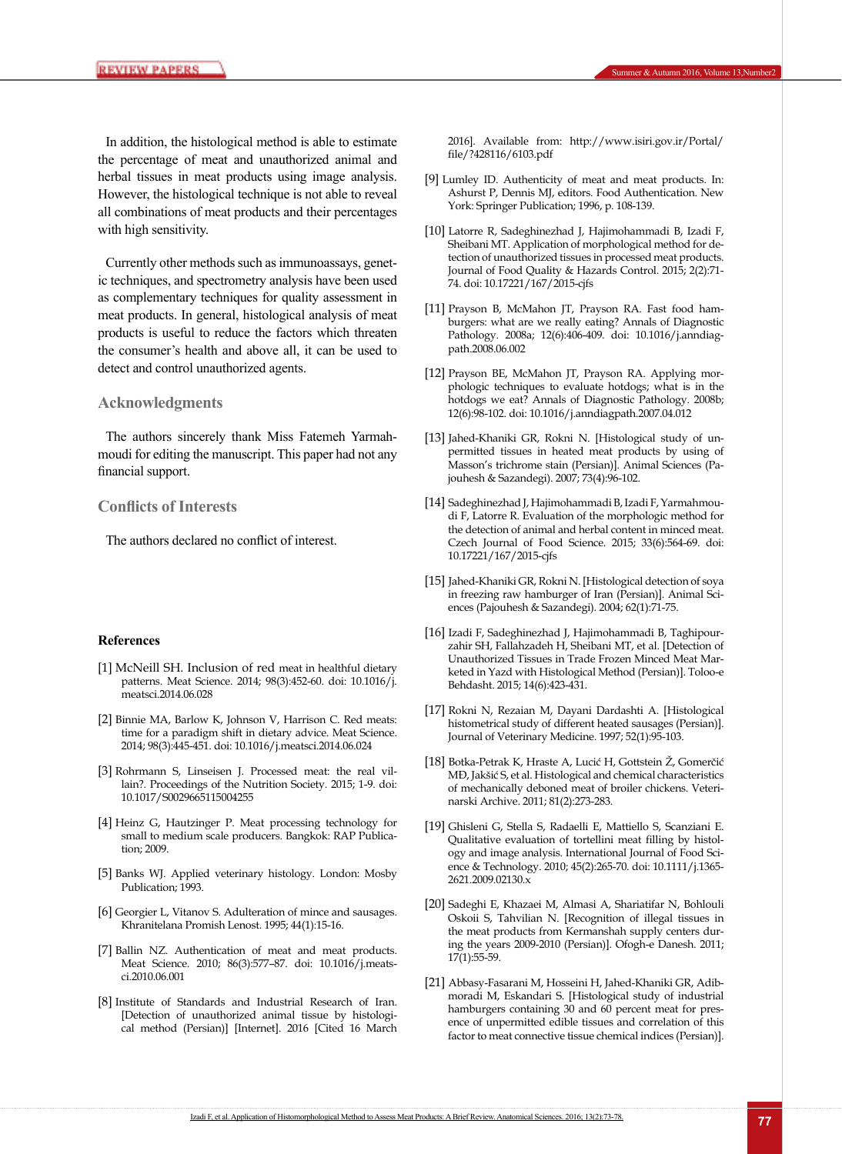In addition, the histological method is able to estimate the percentage of meat and unauthorized animal and herbal tissues in meat products using image analysis. However, the histological technique is not able to reveal all combinations of meat products and their percentages with high sensitivity.

Currently other methods such as immunoassays, genetic techniques, and spectrometry analysis have been used as complementary techniques for quality assessment in meat products. In general, histological analysis of meat products is useful to reduce the factors which threaten the consumer's health and above all, it can be used to detect and control unauthorized agents.

#### **Acknowledgments**

The authors sincerely thank Miss Fatemeh Yarmahmoudi for editing the manuscript. This paper had not any financial support.

### **Conflicts of Interests**

The authors declared no conflict of interest.

#### **References**

- [1] McNeill SH. Inclusion of red meat in healthful dietary patterns. Meat Science. 2014; 98(3):452-60. doi: 10.1016/j. meatsci.2014.06.028
- [2] Binnie MA, Barlow K, Johnson V, Harrison C. Red meats: time for a paradigm shift in dietary advice. Meat Science. 2014; 98(3):445-451. doi: 10.1016/j.meatsci.2014.06.024
- <span id="page-4-0"></span>[3] Rohrmann S, Linseisen J. Processed meat: the real villain?. Proceedings of the Nutrition Society. 2015; 1-9. doi: 10.1017/S0029665115004255
- <span id="page-4-1"></span>[4] Heinz G, Hautzinger P. Meat processing technology for small to medium scale producers. Bangkok: RAP Publication; 2009.
- <span id="page-4-2"></span>[5] Banks WJ. Applied veterinary histology. London: Mosby Publication; 1993.
- <span id="page-4-3"></span>[6] Georgier L, Vitanov S. Adulteration of mince and sausages. Khranitelana Promish Lenost. 1995; 44(1):15-16.
- <span id="page-4-4"></span>[7] Ballin NZ. Authentication of meat and meat products. Meat Science. 2010; 86(3):577–87. doi: 10.1016/j.meatsci.2010.06.001
- <span id="page-4-5"></span>[8] Institute of Standards and Industrial Research of Iran. [Detection of unauthorized animal tissue by histological method (Persian)] [Internet]. 2016 [Cited 16 March

2016]. Available from: http://www.isiri.gov.ir/Portal/ file/?428116/6103.pdf

- <span id="page-4-6"></span>[9] Lumley ID. Authenticity of meat and meat products. In: Ashurst P, Dennis MJ, editors. Food Authentication. New York: Springer Publication; 1996, p. 108-139.
- <span id="page-4-7"></span>[10] Latorre R, Sadeghinezhad J, Hajimohammadi B, Izadi F, Sheibani MT. Application of morphological method for detection of unauthorized tissues in processed meat products. Journal of Food Quality & Hazards Control. 2015; 2(2):71- 74. doi: 10.17221/167/2015-cjfs
- <span id="page-4-8"></span>[11] Prayson B, McMahon JT, Prayson RA. Fast food hamburgers: what are we really eating? Annals of Diagnostic Pathology. 2008a; 12(6):406-409. doi: 10.1016/j.anndiagpath.2008.06.002
- <span id="page-4-9"></span>[12] Prayson BE, McMahon JT, Prayson RA. Applying morphologic techniques to evaluate hotdogs; what is in the hotdogs we eat? Annals of Diagnostic Pathology. 2008b; 12(6):98-102. doi: 10.1016/j.anndiagpath.2007.04.012
- <span id="page-4-10"></span>[13] Jahed-Khaniki GR, Rokni N. [Histological study of unpermitted tissues in heated meat products by using of Masson's trichrome stain (Persian)]. Animal Sciences (Pajouhesh & Sazandegi). 2007; 73(4):96-102.
- <span id="page-4-11"></span>[14] Sadeghinezhad J, Hajimohammadi B, Izadi F, Yarmahmoudi F, Latorre R. Evaluation of the morphologic method for the detection of animal and herbal content in minced meat. Czech Journal of Food Science. 2015; 33(6):564-69. doi: 10.17221/167/2015-cjfs
- <span id="page-4-12"></span>[15] Jahed-Khaniki GR, Rokni N. [Histological detection of soya in freezing raw hamburger of Iran (Persian)]. Animal Sciences (Pajouhesh & Sazandegi). 2004; 62(1):71-75.
- <span id="page-4-13"></span>[16] Izadi F, Sadeghinezhad J, Hajimohammadi B, Taghipourzahir SH, Fallahzadeh H, Sheibani MT, et al. [Detection of Unauthorized Tissues in Trade Frozen Minced Meat Marketed in Yazd with Histological Method (Persian)]. Toloo-e Behdasht. 2015; 14(6):423-431.
- <span id="page-4-14"></span>[17] Rokni N, Rezaian M, Dayani Dardashti A. [Histological histometrical study of different heated sausages (Persian)]. Journal of Veterinary Medicine. 1997; 52(1):95-103.
- [18] Botka-Petrak K, Hraste A, Lucić H, Gottstein Ž, Gomerčić MĐ, Jakšić S, et al. Histological and chemical characteristics of mechanically deboned meat of broiler chickens. Veterinarski Archive. 2011; 81(2):273-283.
- <span id="page-4-15"></span>[19] Ghisleni G, Stella S, Radaelli E, Mattiello S, Scanziani E. Qualitative evaluation of tortellini meat filling by histology and image analysis. International Journal of Food Science & Technology. 2010; 45(2):265-70. doi: 10.1111/j.1365- 2621.2009.02130.x
- <span id="page-4-16"></span>[20] Sadeghi E, Khazaei M, Almasi A, Shariatifar N, Bohlouli Oskoii S, Tahvilian N. [Recognition of illegal tissues in the meat products from Kermanshah supply centers during the years 2009-2010 (Persian)]. Ofogh-e Danesh. 2011; 17(1):55-59.
- <span id="page-4-17"></span>[21] Abbasy-Fasarani M, Hosseini H, Jahed-Khaniki GR, Adibmoradi M, Eskandari S. [Histological study of industrial hamburgers containing 30 and 60 percent meat for presence of unpermitted edible tissues and correlation of this factor to meat connective tissue chemical indices (Persian)].